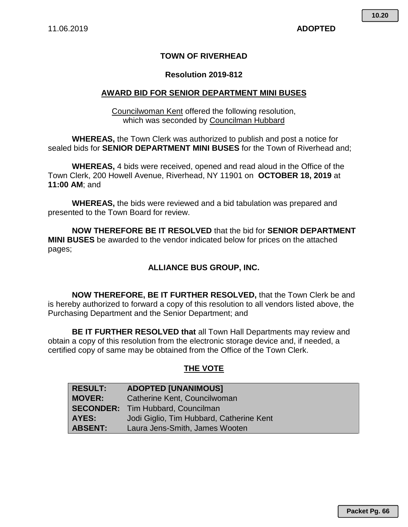## **TOWN OF RIVERHEAD**

### **Resolution 2019-812**

#### **AWARD BID FOR SENIOR DEPARTMENT MINI BUSES**

Councilwoman Kent offered the following resolution, which was seconded by Councilman Hubbard

**WHEREAS,** the Town Clerk was authorized to publish and post a notice for sealed bids for **SENIOR DEPARTMENT MINI BUSES** for the Town of Riverhead and;

**WHEREAS,** 4 bids were received, opened and read aloud in the Office of the Town Clerk, 200 Howell Avenue, Riverhead, NY 11901 on **OCTOBER 18, 2019** at **11:00 AM**; and

**WHEREAS,** the bids were reviewed and a bid tabulation was prepared and presented to the Town Board for review.

**NOW THEREFORE BE IT RESOLVED** that the bid for **SENIOR DEPARTMENT MINI BUSES** be awarded to the vendor indicated below for prices on the attached pages;

### **ALLIANCE BUS GROUP, INC.**

**NOW THEREFORE, BE IT FURTHER RESOLVED,** that the Town Clerk be and is hereby authorized to forward a copy of this resolution to all vendors listed above, the Purchasing Department and the Senior Department; and

**BE IT FURTHER RESOLVED that** all Town Hall Departments may review and obtain a copy of this resolution from the electronic storage device and, if needed, a certified copy of same may be obtained from the Office of the Town Clerk.

### **THE VOTE**

| <b>RESULT:</b> | <b>ADOPTED [UNANIMOUS]</b>               |
|----------------|------------------------------------------|
| <b>MOVER:</b>  | Catherine Kent, Councilwoman             |
|                | <b>SECONDER:</b> Tim Hubbard, Councilman |
| AYES:          | Jodi Giglio, Tim Hubbard, Catherine Kent |
| <b>ABSENT:</b> | Laura Jens-Smith, James Wooten           |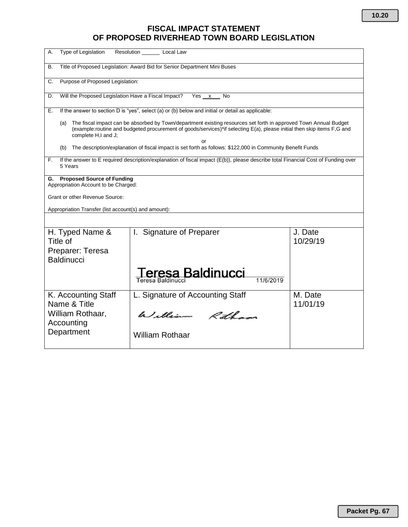# **FISCAL IMPACT STATEMENT OF PROPOSED RIVERHEAD TOWN BOARD LEGISLATION**

| Type of Legislation<br>Α.                                                                                                                                                                                                                                                | Resolution _____<br>Local Law       |                     |  |  |
|--------------------------------------------------------------------------------------------------------------------------------------------------------------------------------------------------------------------------------------------------------------------------|-------------------------------------|---------------------|--|--|
| Title of Proposed Legislation: Award Bid for Senior Department Mini Buses<br>В.                                                                                                                                                                                          |                                     |                     |  |  |
| Purpose of Proposed Legislation:<br>C.                                                                                                                                                                                                                                   |                                     |                     |  |  |
| Will the Proposed Legislation Have a Fiscal Impact?<br>Yes x<br>D.<br>No                                                                                                                                                                                                 |                                     |                     |  |  |
| If the answer to section D is "yes", select (a) or (b) below and initial or detail as applicable:<br>Е.                                                                                                                                                                  |                                     |                     |  |  |
| The fiscal impact can be absorbed by Town/department existing resources set forth in approved Town Annual Budget<br>(a)<br>(example:routine and budgeted procurement of goods/services)*if selecting E(a), please initial then skip items F.G and<br>complete H,I and J; |                                     |                     |  |  |
| or<br>The description/explanation of fiscal impact is set forth as follows: \$122,000 in Community Benefit Funds<br>(b)                                                                                                                                                  |                                     |                     |  |  |
| If the answer to E required description/explanation of fiscal impact (E(b)), please describe total Financial Cost of Funding over<br>F.<br>5 Years                                                                                                                       |                                     |                     |  |  |
| <b>Proposed Source of Funding</b><br>G.<br>Appropriation Account to be Charged:                                                                                                                                                                                          |                                     |                     |  |  |
| Grant or other Revenue Source:                                                                                                                                                                                                                                           |                                     |                     |  |  |
| Appropriation Transfer (list account(s) and amount):                                                                                                                                                                                                                     |                                     |                     |  |  |
|                                                                                                                                                                                                                                                                          |                                     |                     |  |  |
| H. Typed Name &<br>Title of<br>Preparer: Teresa<br><b>Baldinucci</b>                                                                                                                                                                                                     | I. Signature of Preparer            | J. Date<br>10/29/19 |  |  |
|                                                                                                                                                                                                                                                                          | esa Baldinucci<br>Teresa Baldinucci |                     |  |  |
| K. Accounting Staff<br>Name & Title                                                                                                                                                                                                                                      | L. Signature of Accounting Staff    | M. Date<br>11/01/19 |  |  |
| William Rothaar,<br>Accounting                                                                                                                                                                                                                                           | William Rotham                      |                     |  |  |
| Department                                                                                                                                                                                                                                                               | <b>William Rothaar</b>              |                     |  |  |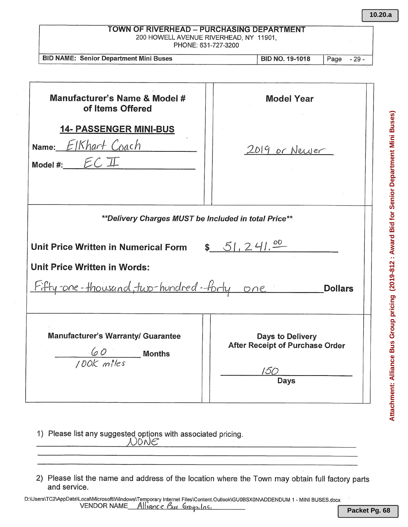| <b>BID NAME: Senior Department Mini Buses</b>                                        | <b>BID NO. 19-1018</b><br>Page<br>$-29-$ |
|--------------------------------------------------------------------------------------|------------------------------------------|
|                                                                                      |                                          |
| Manufacturer's Name & Model #<br>of Items Offered                                    | <b>Model Year</b>                        |
| <b>14- PASSENGER MINI-BUS</b><br>Name: $E$ IKhart Coach<br>Model #: $ECI\!\!\!\perp$ | 2019 or Newer                            |
|                                                                                      |                                          |
| **Delivery Charges MUST be Included in total Price**                                 |                                          |
| Unit Price Written in Numerical Form<br>Unit Price Written in Words:                 | \$51, 241.00                             |
| Fifty-one-thousand, two-hundred-forty one                                            | <b>Dollars</b>                           |

2) Please list the name and address of the location where the Town may obtain full factory parts and service.

)ONE

**10.20.a**

Attachment: Alliance Bus Group pricing (2019-812 : Award Bid for Senior Department Mini Buses) **Attachment: Alliance Bus Group pricing (2019-812 : Award Bid for Senior Department Mini Buses)**